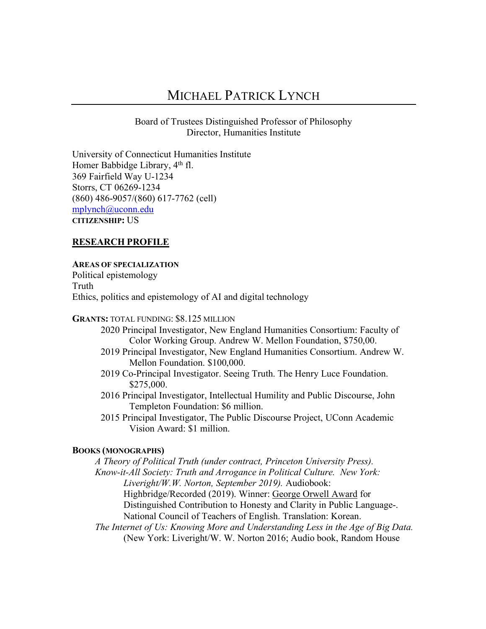# MICHAEL PATRICK LYNCH

Board of Trustees Distinguished Professor of Philosophy Director, Humanities Institute

University of Connecticut Humanities Institute Homer Babbidge Library,  $4<sup>th</sup>$  fl. 369 Fairfield Way U-1234 Storrs, CT 06269-1234 (860) 486-9057/(860) 617-7762 (cell) mplynch@uconn.edu **CITIZENSHIP:** US

# **RESEARCH PROFILE**

## **AREAS OF SPECIALIZATION**

Political epistemology Truth Ethics, politics and epistemology of AI and digital technology

### **GRANTS:** TOTAL FUNDING: \$8.125 MILLION

- 2020 Principal Investigator, New England Humanities Consortium: Faculty of Color Working Group. Andrew W. Mellon Foundation, \$750,00.
- 2019 Principal Investigator, New England Humanities Consortium. Andrew W. Mellon Foundation. \$100,000.
- 2019 Co-Principal Investigator. Seeing Truth. The Henry Luce Foundation. \$275,000.
- 2016 Principal Investigator, Intellectual Humility and Public Discourse, John Templeton Foundation: \$6 million.
- 2015 Principal Investigator, The Public Discourse Project, UConn Academic Vision Award: \$1 million.

## **BOOKS (MONOGRAPHS)**

*A Theory of Political Truth (under contract, Princeton University Press). Know-it-All Society: Truth and Arrogance in Political Culture. New York: Liveright/W.W. Norton, September 2019).* Audiobook: Highbridge/Recorded (2019). Winner: George Orwell Award for Distinguished Contribution to Honesty and Clarity in Public Language-. National Council of Teachers of English. Translation: Korean. *The Internet of Us: Knowing More and Understanding Less in the Age of Big Data.* 

(New York: Liveright/W. W. Norton 2016; Audio book, Random House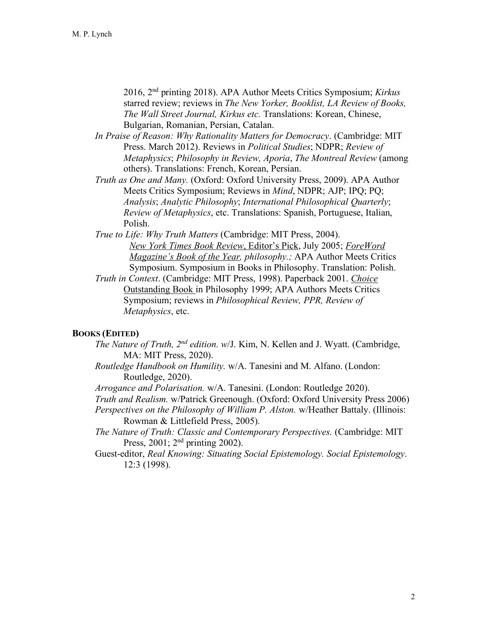2016, 2nd printing 2018). APA Author Meets Critics Symposium; *Kirkus* starred review; reviews in *The New Yorker, Booklist, LA Review of Books, The Wall Street Journal, Kirkus etc.* Translations: Korean, Chinese, Bulgarian, Romanian, Persian, Catalan.

- *In Praise of Reason: Why Rationality Matters for Democracy*. (Cambridge: MIT Press. March 2012). Reviews in *Political Studies*; NDPR; *Review of Metaphysics*; *Philosophy in Review, Aporia*, *The Montreal Review* (among others). Translations: French, Korean, Persian.
- *Truth as One and Many.* (Oxford: Oxford University Press, 2009). APA Author Meets Critics Symposium; Reviews in *Mind*, NDPR; AJP; IPQ; PQ; *Analysis*; *Analytic Philosophy*; *International Philosophical Quarterly*; *Review of Metaphysics*, etc. Translations: Spanish, Portuguese, Italian, Polish.
- *True to Life: Why Truth Matters* (Cambridge: MIT Press, 2004). *New York Times Book Review*, Editor's Pick, July 2005; *ForeWord Magazine's Book of the Year, philosophy.;* APA Author Meets Critics Symposium. Symposium in Books in Philosophy. Translation: Polish.
- *Truth in Context*. (Cambridge: MIT Press, 1998). Paperback 2001. *Choice* Outstanding Book in Philosophy 1999; APA Authors Meets Critics Symposium; reviews in *Philosophical Review, PPR, Review of Metaphysics*, etc.

## **BOOKS (EDITED)**

- *The Nature of Truth, 2nd edition. w*/J. Kim, N. Kellen and J. Wyatt. (Cambridge, MA: MIT Press, 2020).
- *Routledge Handbook on Humility.* w/A. Tanesini and M. Alfano. (London: Routledge, 2020).
- *Arrogance and Polarisation.* w/A. Tanesini. (London: Routledge 2020).
- *Truth and Realism.* w/Patrick Greenough. (Oxford: Oxford University Press 2006)
- *Perspectives on the Philosophy of William P. Alston.* w/Heather Battaly. (Illinois: Rowman & Littlefield Press, 2005).
- *The Nature of Truth: Classic and Contemporary Perspectives.* (Cambridge: MIT Press, 2001; 2<sup>nd</sup> printing 2002).
- Guest-editor, *Real Knowing: Situating Social Epistemology. Social Epistemology*. 12:3 (1998).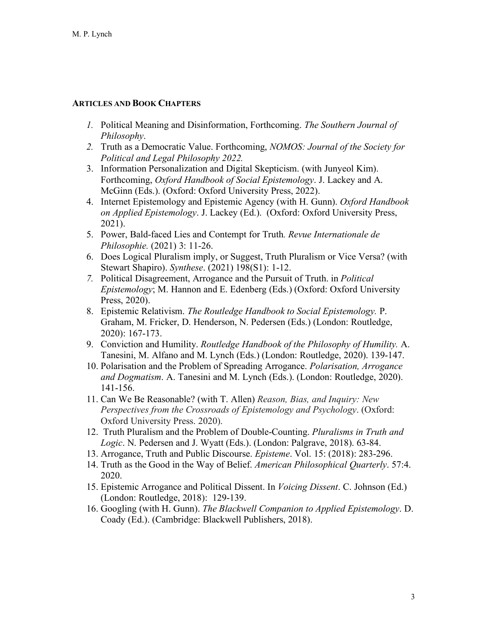## **ARTICLES AND BOOK CHAPTERS**

- *1.* Political Meaning and Disinformation, Forthcoming. *The Southern Journal of Philosophy*.
- *2.* Truth as a Democratic Value. Forthcoming, *NOMOS: Journal of the Society for Political and Legal Philosophy 2022.*
- 3. Information Personalization and Digital Skepticism. (with Junyeol Kim). Forthcoming, *Oxford Handbook of Social Epistemology*. J. Lackey and A. McGinn (Eds.). (Oxford: Oxford University Press, 2022).
- 4. Internet Epistemology and Epistemic Agency (with H. Gunn). *Oxford Handbook on Applied Epistemology*. J. Lackey (Ed.). (Oxford: Oxford University Press, 2021).
- 5. Power, Bald-faced Lies and Contempt for Truth*. Revue Internationale de Philosophie.* (2021) 3: 11-26.
- 6. Does Logical Pluralism imply, or Suggest, Truth Pluralism or Vice Versa? (with Stewart Shapiro). *Synthese*. (2021) 198(S1): 1-12.
- *7.* Political Disagreement, Arrogance and the Pursuit of Truth. in *Political Epistemology*; M. Hannon and E. Edenberg (Eds.) (Oxford: Oxford University Press, 2020).
- 8. Epistemic Relativism. *The Routledge Handbook to Social Epistemology.* P. Graham, M. Fricker, D. Henderson, N. Pedersen (Eds.) (London: Routledge, 2020): 167-173.
- 9. Conviction and Humility. *Routledge Handbook of the Philosophy of Humility.* A. Tanesini, M. Alfano and M. Lynch (Eds.) (London: Routledge, 2020). 139-147.
- 10. Polarisation and the Problem of Spreading Arrogance. *Polarisation, Arrogance and Dogmatism*. A. Tanesini and M. Lynch (Eds.). (London: Routledge, 2020). 141-156.
- 11. Can We Be Reasonable? (with T. Allen) *Reason, Bias, and Inquiry: New Perspectives from the Crossroads of Epistemology and Psychology*. (Oxford: Oxford University Press. 2020).
- 12. Truth Pluralism and the Problem of Double-Counting. *Pluralisms in Truth and Logic*. N. Pedersen and J. Wyatt (Eds.). (London: Palgrave, 2018). 63-84.
- 13. Arrogance, Truth and Public Discourse. *Episteme*. Vol. 15: (2018): 283-296.
- 14. Truth as the Good in the Way of Belief. *American Philosophical Quarterly*. 57:4. 2020.
- 15. Epistemic Arrogance and Political Dissent. In *Voicing Dissent*. C. Johnson (Ed.) (London: Routledge, 2018): 129-139.
- 16. Googling (with H. Gunn). *The Blackwell Companion to Applied Epistemology*. D. Coady (Ed.). (Cambridge: Blackwell Publishers, 2018).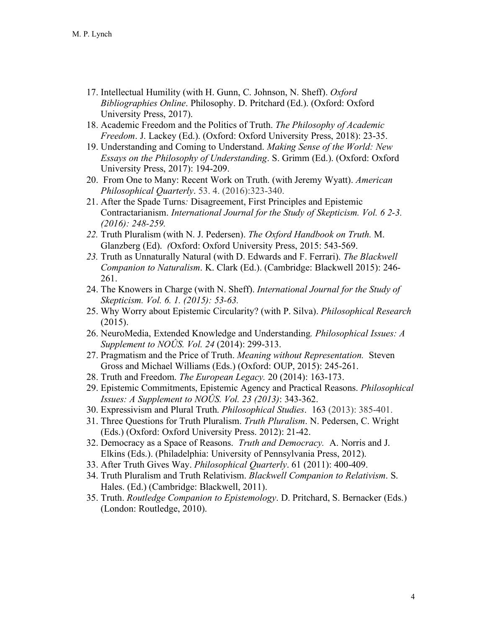- 17. Intellectual Humility (with H. Gunn, C. Johnson, N. Sheff). *Oxford Bibliographies Online*. Philosophy. D. Pritchard (Ed.). (Oxford: Oxford University Press, 2017).
- 18. Academic Freedom and the Politics of Truth. *The Philosophy of Academic Freedom*. J. Lackey (Ed.). (Oxford: Oxford University Press, 2018): 23-35.
- 19. Understanding and Coming to Understand. *Making Sense of the World: New Essays on the Philosophy of Understanding*. S. Grimm (Ed.). (Oxford: Oxford University Press, 2017): 194-209.
- 20. From One to Many: Recent Work on Truth. (with Jeremy Wyatt). *American Philosophical Quarterly*. 53. 4. (2016):323-340.
- 21. After the Spade Turns*:* Disagreement, First Principles and Epistemic Contractarianism. *International Journal for the Study of Skepticism. Vol. 6 2-3. (2016): 248-259.*
- *22.* Truth Pluralism (with N. J. Pedersen). *The Oxford Handbook on Truth.* M. Glanzberg (Ed). *(*Oxford: Oxford University Press, 2015: 543-569.
- *23.* Truth as Unnaturally Natural (with D. Edwards and F. Ferrari). *The Blackwell Companion to Naturalism*. K. Clark (Ed.). (Cambridge: Blackwell 2015): 246- 261.
- 24. The Knowers in Charge (with N. Sheff). *International Journal for the Study of Skepticism. Vol. 6. 1. (2015): 53-63.*
- 25. Why Worry about Epistemic Circularity? (with P. Silva). *Philosophical Research* (2015).
- 26. NeuroMedia, Extended Knowledge and Understanding*. Philosophical Issues: A Supplement to NOÛS. Vol. 24* (2014): 299-313.
- 27. Pragmatism and the Price of Truth. *Meaning without Representation.* Steven Gross and Michael Williams (Eds.) (Oxford: OUP, 2015): 245-261.
- 28. Truth and Freedom. *The European Legacy.* 20 (2014): 163-173.
- 29. Epistemic Commitments, Epistemic Agency and Practical Reasons. *Philosophical Issues: A Supplement to NOÛS. Vol. 23 (2013)*: 343-362.
- 30. Expressivism and Plural Truth. *Philosophical Studies*. 163 (2013): 385-401.
- 31. Three Questions for Truth Pluralism. *Truth Pluralism*. N. Pedersen, C. Wright (Eds.) (Oxford: Oxford University Press. 2012): 21-42.
- 32. Democracy as a Space of Reasons. *Truth and Democracy.* A. Norris and J. Elkins (Eds.). (Philadelphia: University of Pennsylvania Press, 2012).
- 33. After Truth Gives Way. *Philosophical Quarterly*. 61 (2011): 400-409.
- 34. Truth Pluralism and Truth Relativism. *Blackwell Companion to Relativism*. S. Hales. (Ed.) (Cambridge: Blackwell, 2011).
- 35. Truth. *Routledge Companion to Epistemology*. D. Pritchard, S. Bernacker (Eds.) (London: Routledge, 2010).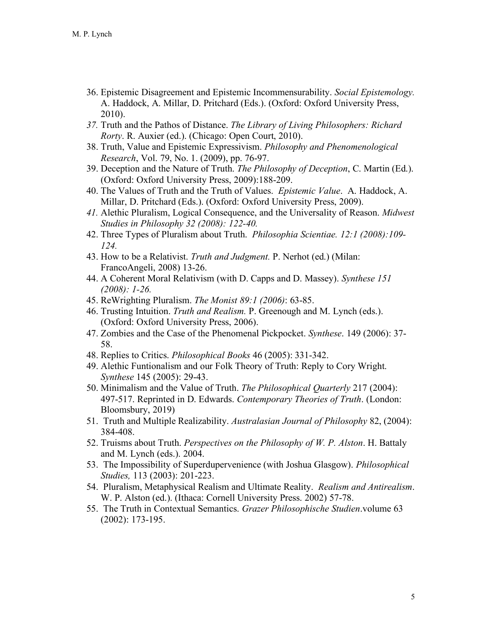- 36. Epistemic Disagreement and Epistemic Incommensurability. *Social Epistemology.* A. Haddock, A. Millar, D. Pritchard (Eds.). (Oxford: Oxford University Press, 2010).
- *37.* Truth and the Pathos of Distance. *The Library of Living Philosophers: Richard Rorty*. R. Auxier (ed.). (Chicago: Open Court, 2010).
- 38. Truth, Value and Epistemic Expressivism. *Philosophy and Phenomenological Research*, Vol. 79, No. 1. (2009), pp. 76-97.
- 39. Deception and the Nature of Truth. *The Philosophy of Deception*, C. Martin (Ed.). (Oxford: Oxford University Press, 2009):188-209.
- 40. The Values of Truth and the Truth of Values. *Epistemic Value*. A. Haddock, A. Millar, D. Pritchard (Eds.). (Oxford: Oxford University Press, 2009).
- *41.* Alethic Pluralism, Logical Consequence, and the Universality of Reason. *Midwest Studies in Philosophy 32 (2008): 122-40.*
- 42. Three Types of Pluralism about Truth. *Philosophia Scientiae. 12:1 (2008):109- 124.*
- 43. How to be a Relativist. *Truth and Judgment.* P. Nerhot (ed.) (Milan: FrancoAngeli, 2008) 13-26.
- 44. A Coherent Moral Relativism (with D. Capps and D. Massey). *Synthese 151 (2008): 1-26.*
- 45. ReWrighting Pluralism. *The Monist 89:1 (2006)*: 63-85.
- 46. Trusting Intuition. *Truth and Realism.* P. Greenough and M. Lynch (eds.). (Oxford: Oxford University Press, 2006).
- 47. Zombies and the Case of the Phenomenal Pickpocket. *Synthese*. 149 (2006): 37- 58.
- 48. Replies to Critics. *Philosophical Books* 46 (2005): 331-342.
- 49. Alethic Funtionalism and our Folk Theory of Truth: Reply to Cory Wright. *Synthese* 145 (2005): 29-43.
- 50. Minimalism and the Value of Truth. *The Philosophical Quarterly* 217 (2004): 497-517. Reprinted in D. Edwards. *Contemporary Theories of Truth*. (London: Bloomsbury, 2019)
- 51. Truth and Multiple Realizability. *Australasian Journal of Philosophy* 82, (2004): 384-408.
- 52. Truisms about Truth. *Perspectives on the Philosophy of W. P. Alston*. H. Battaly and M. Lynch (eds.). 2004.
- 53. The Impossibility of Superdupervenience (with Joshua Glasgow). *Philosophical Studies,* 113 (2003): 201-223.
- 54. Pluralism, Metaphysical Realism and Ultimate Reality. *Realism and Antirealism*. W. P. Alston (ed.). (Ithaca: Cornell University Press. 2002) 57-78.
- 55. The Truth in Contextual Semantics. *Grazer Philosophische Studien*.volume 63 (2002): 173-195.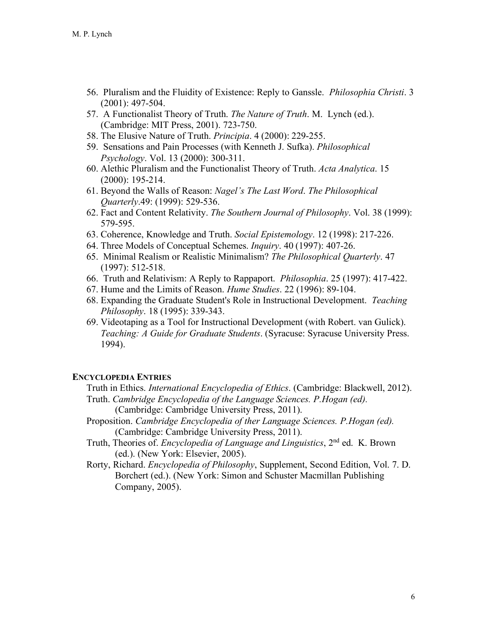- 56. Pluralism and the Fluidity of Existence: Reply to Ganssle. *Philosophia Christi*. 3 (2001): 497-504.
- 57. A Functionalist Theory of Truth. *The Nature of Truth*. M. Lynch (ed.). (Cambridge: MIT Press, 2001). 723-750.
- 58. The Elusive Nature of Truth. *Principia*. 4 (2000): 229-255.
- 59. Sensations and Pain Processes (with Kenneth J. Sufka). *Philosophical Psychology*. Vol. 13 (2000): 300-311.
- 60. Alethic Pluralism and the Functionalist Theory of Truth. *Acta Analytica*. 15 (2000): 195-214.
- 61. Beyond the Walls of Reason: *Nagel's The Last Word*. *The Philosophical Quarterly*.49: (1999): 529-536.
- 62. Fact and Content Relativity. *The Southern Journal of Philosophy*. Vol. 38 (1999): 579-595.
- 63. Coherence, Knowledge and Truth. *Social Epistemology*. 12 (1998): 217-226.
- 64. Three Models of Conceptual Schemes. *Inquiry*. 40 (1997): 407-26.
- 65. Minimal Realism or Realistic Minimalism? *The Philosophical Quarterly*. 47 (1997): 512-518.
- 66. Truth and Relativism: A Reply to Rappaport. *Philosophia*. 25 (1997): 417-422.
- 67. Hume and the Limits of Reason. *Hume Studies*. 22 (1996): 89-104.
- 68. Expanding the Graduate Student's Role in Instructional Development. *Teaching Philosophy*. 18 (1995): 339-343.
- 69. Videotaping as a Tool for Instructional Development (with Robert. van Gulick). *Teaching: A Guide for Graduate Students*. (Syracuse: Syracuse University Press. 1994).

## **ENCYCLOPEDIA ENTRIES**

Truth in Ethics. *International Encyclopedia of Ethics*. (Cambridge: Blackwell, 2012).

- Truth. *Cambridge Encyclopedia of the Language Sciences. P.Hogan (ed).* (Cambridge: Cambridge University Press, 2011).
- Proposition. *Cambridge Encyclopedia of ther Language Sciences. P.Hogan (ed).* (Cambridge: Cambridge University Press, 2011).
- Truth, Theories of. *Encyclopedia of Language and Linguistics*, 2nd ed. K. Brown (ed.). (New York: Elsevier, 2005).
- Rorty, Richard. *Encyclopedia of Philosophy*, Supplement, Second Edition, Vol. 7. D. Borchert (ed.). (New York: Simon and Schuster Macmillan Publishing Company, 2005).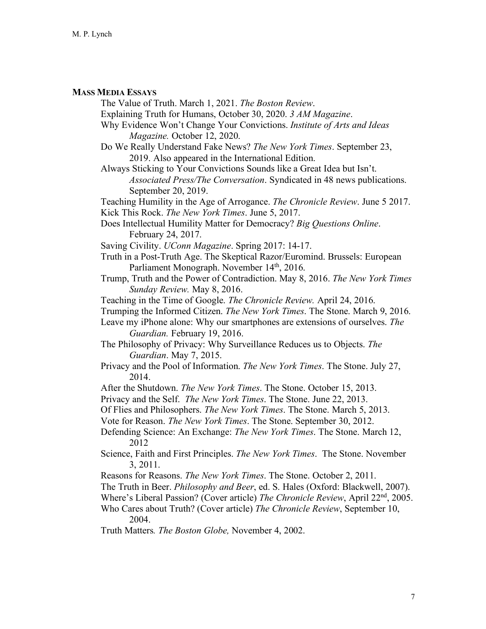## **MASS MEDIA ESSAYS**

The Value of Truth. March 1, 2021. *The Boston Review*. Explaining Truth for Humans, October 30, 2020. *3 AM Magazine*. Why Evidence Won't Change Your Convictions. *Institute of Arts and Ideas Magazine.* October 12, 2020. Do We Really Understand Fake News? *The New York Times*. September 23, 2019. Also appeared in the International Edition. Always Sticking to Your Convictions Sounds like a Great Idea but Isn't. *Associated Press/The Conversation*. Syndicated in 48 news publications. September 20, 2019. Teaching Humility in the Age of Arrogance. *The Chronicle Review*. June 5 2017. Kick This Rock. *The New York Times*. June 5, 2017. Does Intellectual Humility Matter for Democracy? *Big Questions Online*. February 24, 2017. Saving Civility. *UConn Magazine*. Spring 2017: 14-17. Truth in a Post-Truth Age. The Skeptical Razor/Euromind. Brussels: European Parliament Monograph. November 14<sup>th</sup>, 2016. Trump, Truth and the Power of Contradiction. May 8, 2016. *The New York Times Sunday Review.* May 8, 2016. Teaching in the Time of Google. *The Chronicle Review.* April 24, 2016. Trumping the Informed Citizen. *The New York Times*. The Stone. March 9, 2016. Leave my iPhone alone: Why our smartphones are extensions of ourselves. *The Guardian.* February 19, 2016. The Philosophy of Privacy: Why Surveillance Reduces us to Objects. *The Guardian*. May 7, 2015. Privacy and the Pool of Information. *The New York Times*. The Stone. July 27, 2014. After the Shutdown. *The New York Times*. The Stone. October 15, 2013. Privacy and the Self. *The New York Times*. The Stone. June 22, 2013. Of Flies and Philosophers. *The New York Times*. The Stone. March 5, 2013. Vote for Reason. *The New York Times*. The Stone. September 30, 2012. Defending Science: An Exchange: *The New York Times*. The Stone. March 12, 2012 Science, Faith and First Principles. *The New York Times*. The Stone. November 3, 2011. Reasons for Reasons. *The New York Times*. The Stone. October 2, 2011. The Truth in Beer. *Philosophy and Beer*, ed. S. Hales (Oxford: Blackwell, 2007). Where's Liberal Passion? (Cover article) *The Chronicle Review*, April 22nd, 2005. Who Cares about Truth? (Cover article) *The Chronicle Review*, September 10, 2004.

Truth Matters*. The Boston Globe,* November 4, 2002.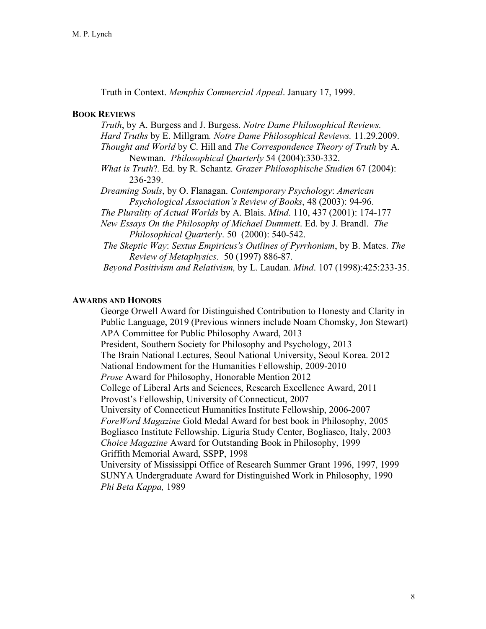Truth in Context. *Memphis Commercial Appeal*. January 17, 1999.

## **BOOK REVIEWS**

*Truth*, by A. Burgess and J. Burgess. *Notre Dame Philosophical Reviews. Hard Truths* by E. Millgram*. Notre Dame Philosophical Reviews.* 11.29.2009. *Thought and World* by C. Hill and *The Correspondence Theory of Truth* by A. Newman. *Philosophical Quarterly* 54 (2004):330-332. *What is Truth*?*.* Ed. by R. Schantz. *Grazer Philosophische Studien* 67 (2004): 236-239. *Dreaming Souls*, by O. Flanagan. *Contemporary Psychology*: *American Psychological Association's Review of Books*, 48 (2003): 94-96. *The Plurality of Actual Worlds* by A. Blais. *Mind*. 110, 437 (2001): 174-177 *New Essays On the Philosophy of Michael Dummett*. Ed. by J. Brandl. *The Philosophical Quarterly*. 50 (2000): 540-542. *The Skeptic Way*: *Sextus Empiricus's Outlines of Pyrrhonism*, by B. Mates. *The Review of Metaphysics*. 50 (1997) 886-87. *Beyond Positivism and Relativism,* by L. Laudan. *Mind*. 107 (1998):425:233-35.

## **AWARDS AND HONORS**

George Orwell Award for Distinguished Contribution to Honesty and Clarity in Public Language, 2019 (Previous winners include Noam Chomsky, Jon Stewart) APA Committee for Public Philosophy Award, 2013 President, Southern Society for Philosophy and Psychology, 2013 The Brain National Lectures, Seoul National University, Seoul Korea. 2012 National Endowment for the Humanities Fellowship, 2009-2010 *Prose* Award for Philosophy, Honorable Mention 2012 College of Liberal Arts and Sciences, Research Excellence Award, 2011 Provost's Fellowship, University of Connecticut, 2007 University of Connecticut Humanities Institute Fellowship, 2006-2007 *ForeWord Magazine* Gold Medal Award for best book in Philosophy, 2005 Bogliasco Institute Fellowship. Liguria Study Center, Bogliasco, Italy, 2003 *Choice Magazine* Award for Outstanding Book in Philosophy, 1999 Griffith Memorial Award, SSPP, 1998 University of Mississippi Office of Research Summer Grant 1996, 1997, 1999 SUNYA Undergraduate Award for Distinguished Work in Philosophy, 1990 *Phi Beta Kappa,* 1989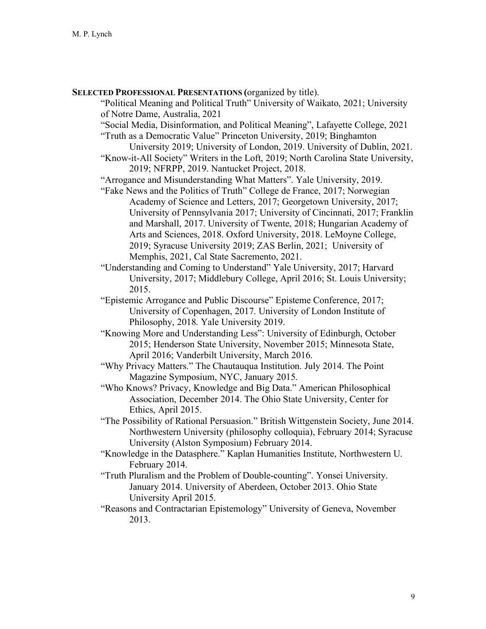**SELECTED PROFESSIONAL PRESENTATIONS (**organized by title).

"Political Meaning and Political Truth" University of Waikato, 2021; University of Notre Dame, Australia, 2021

"Social Media, Disinformation, and Political Meaning", Lafayette College, 2021

- "Truth as a Democratic Value" Princeton University, 2019; Binghamton University 2019; University of London, 2019. University of Dublin, 2021.
- "Know-it-All Society" Writers in the Loft, 2019; North Carolina State University, 2019; NFRPP, 2019. Nantucket Project, 2018.

"Arrogance and Misunderstanding What Matters". Yale University, 2019.

- "Fake News and the Politics of Truth" College de France, 2017; Norwegian Academy of Science and Letters, 2017; Georgetown University, 2017; University of Pennsylvania 2017; University of Cincinnati, 2017; Franklin and Marshall, 2017. University of Twente, 2018; Hungarian Academy of Arts and Sciences, 2018. Oxford University, 2018. LeMoyne College, 2019; Syracuse University 2019; ZAS Berlin, 2021; University of Memphis, 2021, Cal State Sacremento, 2021.
- "Understanding and Coming to Understand" Yale University, 2017; Harvard University, 2017; Middlebury College, April 2016; St. Louis University; 2015.
- "Epistemic Arrogance and Public Discourse" Episteme Conference, 2017; University of Copenhagen, 2017. University of London Institute of Philosophy, 2018. Yale University 2019.
- "Knowing More and Understanding Less": University of Edinburgh, October 2015; Henderson State University, November 2015; Minnesota State, April 2016; Vanderbilt University, March 2016.
- "Why Privacy Matters." The Chautauqua Institution. July 2014. The Point Magazine Symposium, NYC, January 2015.
- "Who Knows? Privacy, Knowledge and Big Data." American Philosophical Association, December 2014. The Ohio State University, Center for Ethics, April 2015.
- "The Possibility of Rational Persuasion." British Wittgenstein Society, June 2014. Northwestern University (philosophy colloquia), February 2014; Syracuse University (Alston Symposium) February 2014.
- "Knowledge in the Datasphere." Kaplan Humanities Institute, Northwestern U. February 2014.
- "Truth Pluralism and the Problem of Double-counting". Yonsei University. January 2014. University of Aberdeen, October 2013. Ohio State University April 2015.
- "Reasons and Contractarian Epistemology" University of Geneva, November 2013.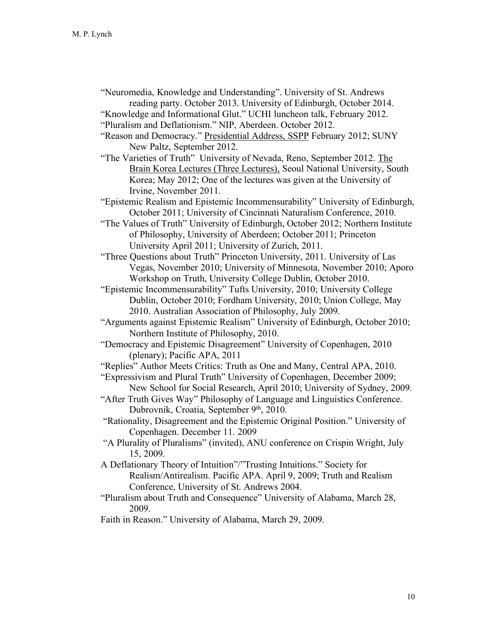"Neuromedia, Knowledge and Understanding". University of St. Andrews reading party. October 2013. University of Edinburgh, October 2014.

"Knowledge and Informational Glut." UCHI luncheon talk, February 2012. "Pluralism and Deflationism." NIP, Aberdeen. October 2012.

- "Reason and Democracy." Presidential Address, SSPP February 2012; SUNY New Paltz, September 2012.
- "The Varieties of Truth" University of Nevada, Reno, September 2012. The Brain Korea Lectures (Three Lectures), Seoul National University, South Korea; May 2012; One of the lectures was given at the University of Irvine, November 2011.

"Epistemic Realism and Epistemic Incommensurability" University of Edinburgh, October 2011; University of Cincinnati Naturalism Conference, 2010.

- "The Values of Truth" University of Edinburgh, October 2012; Northern Institute of Philosophy, University of Aberdeen; October 2011; Princeton University April 2011; University of Zurich, 2011.
- "Three Questions about Truth" Princeton University, 2011. University of Las Vegas, November 2010; University of Minnesota, November 2010; Aporo Workshop on Truth, University College Dublin, October 2010.
- "Epistemic Incommensurability" Tufts University, 2010; University College Dublin, October 2010; Fordham University, 2010; Union College, May 2010. Australian Association of Philosophy, July 2009.
- "Arguments against Epistemic Realism" University of Edinburgh, October 2010; Northern Institute of Philosophy, 2010.
- "Democracy and Epistemic Disagreement" University of Copenhagen, 2010 (plenary); Pacific APA, 2011

"Replies" Author Meets Critics: Truth as One and Many, Central APA, 2010.

- "Expressivism and Plural Truth" University of Copenhagen, December 2009; New School for Social Research, April 2010; University of Sydney, 2009.
- "After Truth Gives Way" Philosophy of Language and Linguistics Conference. Dubrovnik, Croatia, September 9<sup>th</sup>, 2010.
- "Rationality, Disagreement and the Epistemic Original Position." University of Copenhagen. December 11. 2009
- "A Plurality of Pluralisms" (invited), ANU conference on Crispin Wright, July 15, 2009.
- A Deflationary Theory of Intuition"/"Trusting Intuitions." Society for Realism/Antirealism. Pacific APA. April 9, 2009; Truth and Realism Conference, University of St. Andrews 2004.
- "Pluralism about Truth and Consequence" University of Alabama, March 28, 2009.
- Faith in Reason." University of Alabama, March 29, 2009.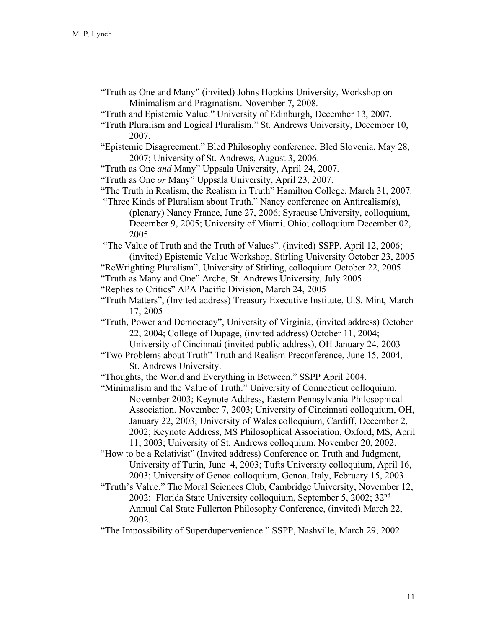- "Truth as One and Many" (invited) Johns Hopkins University, Workshop on Minimalism and Pragmatism. November 7, 2008.
- "Truth and Epistemic Value." University of Edinburgh, December 13, 2007.
- "Truth Pluralism and Logical Pluralism." St. Andrews University, December 10, 2007.
- "Epistemic Disagreement." Bled Philosophy conference, Bled Slovenia, May 28, 2007; University of St. Andrews, August 3, 2006.
- "Truth as One *and* Many" Uppsala University, April 24, 2007.
- "Truth as One *or* Many" Uppsala University, April 23, 2007.
- "The Truth in Realism, the Realism in Truth" Hamilton College, March 31, 2007.
- "Three Kinds of Pluralism about Truth." Nancy conference on Antirealism(s), (plenary) Nancy France, June 27, 2006; Syracuse University, colloquium, December 9, 2005; University of Miami, Ohio; colloquium December 02, 2005

"The Value of Truth and the Truth of Values". (invited) SSPP, April 12, 2006; (invited) Epistemic Value Workshop, Stirling University October 23, 2005

- "ReWrighting Pluralism", University of Stirling, colloquium October 22, 2005
- "Truth as Many and One" Arche, St. Andrews University, July 2005
- "Replies to Critics" APA Pacific Division, March 24, 2005
- "Truth Matters", (Invited address) Treasury Executive Institute, U.S. Mint, March 17, 2005
- "Truth, Power and Democracy", University of Virginia, (invited address) October 22, 2004; College of Dupage, (invited address) October 11, 2004; University of Cincinnati (invited public address), OH January 24, 2003
- "Two Problems about Truth" Truth and Realism Preconference, June 15, 2004, St. Andrews University.

"Thoughts, the World and Everything in Between." SSPP April 2004.

- "Minimalism and the Value of Truth." University of Connecticut colloquium, November 2003; Keynote Address, Eastern Pennsylvania Philosophical Association. November 7, 2003; University of Cincinnati colloquium, OH, January 22, 2003; University of Wales colloquium, Cardiff, December 2, 2002; Keynote Address, MS Philosophical Association, Oxford, MS, April 11, 2003; University of St. Andrews colloquium, November 20, 2002.
- "How to be a Relativist" (Invited address) Conference on Truth and Judgment, University of Turin, June 4, 2003; Tufts University colloquium, April 16, 2003; University of Genoa colloquium, Genoa, Italy, February 15, 2003
- "Truth's Value." The Moral Sciences Club, Cambridge University, November 12, 2002; Florida State University colloquium, September 5, 2002; 32nd Annual Cal State Fullerton Philosophy Conference, (invited) March 22, 2002.
- "The Impossibility of Superdupervenience." SSPP, Nashville, March 29, 2002.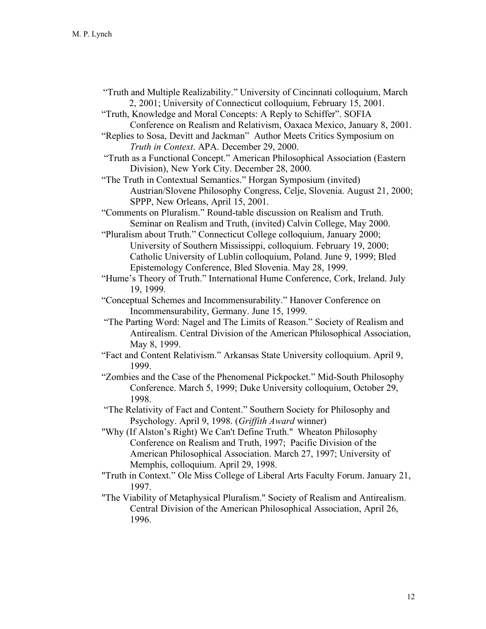- "Truth and Multiple Realizability." University of Cincinnati colloquium, March 2, 2001; University of Connecticut colloquium, February 15, 2001.
- "Truth, Knowledge and Moral Concepts: A Reply to Schiffer". SOFIA Conference on Realism and Relativism, Oaxaca Mexico, January 8, 2001.
- "Replies to Sosa, Devitt and Jackman" Author Meets Critics Symposium on *Truth in Context*. APA. December 29, 2000.
- "Truth as a Functional Concept." American Philosophical Association (Eastern Division), New York City. December 28, 2000.
- "The Truth in Contextual Semantics." Horgan Symposium (invited) Austrian/Slovene Philosophy Congress, Celje, Slovenia. August 21, 2000; SPPP, New Orleans, April 15, 2001.
- "Comments on Pluralism." Round-table discussion on Realism and Truth. Seminar on Realism and Truth, (invited) Calvin College, May 2000.
- "Pluralism about Truth." Connecticut College colloquium, January 2000; University of Southern Mississippi, colloquium. February 19, 2000; Catholic University of Lublin colloquium, Poland. June 9, 1999; Bled Epistemology Conference, Bled Slovenia. May 28, 1999.

"Hume's Theory of Truth." International Hume Conference, Cork, Ireland. July 19, 1999.

- "Conceptual Schemes and Incommensurability." Hanover Conference on Incommensurability, Germany. June 15, 1999.
- "The Parting Word: Nagel and The Limits of Reason." Society of Realism and Antirealism. Central Division of the American Philosophical Association, May 8, 1999.
- "Fact and Content Relativism." Arkansas State University colloquium. April 9, 1999.
- "Zombies and the Case of the Phenomenal Pickpocket." Mid-South Philosophy Conference. March 5, 1999; Duke University colloquium, October 29, 1998.
- "The Relativity of Fact and Content." Southern Society for Philosophy and Psychology. April 9, 1998. (*Griffith Award* winner)
- "Why (If Alston's Right) We Can't Define Truth." Wheaton Philosophy Conference on Realism and Truth, 1997; Pacific Division of the American Philosophical Association. March 27, 1997; University of Memphis, colloquium. April 29, 1998.
- "Truth in Context." Ole Miss College of Liberal Arts Faculty Forum. January 21, 1997.
- "The Viability of Metaphysical Pluralism." Society of Realism and Antirealism. Central Division of the American Philosophical Association, April 26, 1996.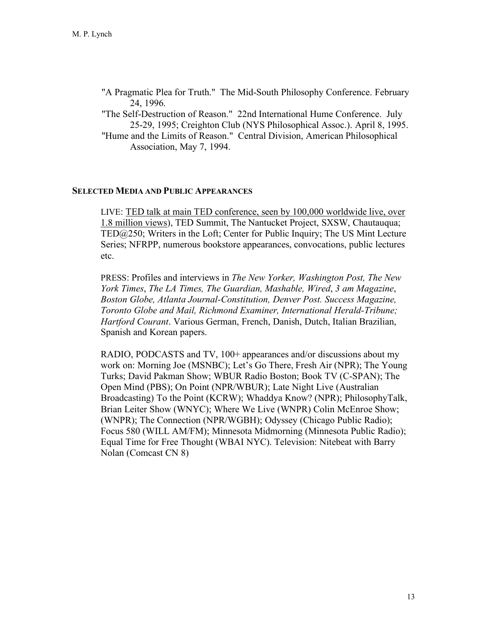"A Pragmatic Plea for Truth." The Mid-South Philosophy Conference. February 24, 1996.

"The Self-Destruction of Reason." 22nd International Hume Conference. July 25-29, 1995; Creighton Club (NYS Philosophical Assoc.). April 8, 1995. "Hume and the Limits of Reason." Central Division, American Philosophical

Association, May 7, 1994.

#### **SELECTED MEDIA AND PUBLIC APPEARANCES**

LIVE: TED talk at main TED conference, seen by 100,000 worldwide live, over 1.8 million views), TED Summit, The Nantucket Project, SXSW, Chautauqua; TED@250; Writers in the Loft; Center for Public Inquiry; The US Mint Lecture Series; NFRPP, numerous bookstore appearances, convocations, public lectures etc.

PRESS: Profiles and interviews in *The New Yorker, Washington Post, The New York Times*, *The LA Times, The Guardian, Mashable, Wired*, *3 am Magazine*, *Boston Globe, Atlanta Journal-Constitution, Denver Post. Success Magazine, Toronto Globe and Mail, Richmond Examiner, International Herald-Tribune; Hartford Courant*. Various German, French, Danish, Dutch, Italian Brazilian, Spanish and Korean papers.

RADIO, PODCASTS and TV, 100+ appearances and/or discussions about my work on: Morning Joe (MSNBC); Let's Go There, Fresh Air (NPR); The Young Turks; David Pakman Show; WBUR Radio Boston; Book TV (C-SPAN); The Open Mind (PBS); On Point (NPR/WBUR); Late Night Live (Australian Broadcasting) To the Point (KCRW); Whaddya Know? (NPR); PhilosophyTalk, Brian Leiter Show (WNYC); Where We Live (WNPR) Colin McEnroe Show; (WNPR); The Connection (NPR/WGBH); Odyssey (Chicago Public Radio); Focus 580 (WILL AM/FM); Minnesota Midmorning (Minnesota Public Radio); Equal Time for Free Thought (WBAI NYC). Television: Nitebeat with Barry Nolan (Comcast CN 8)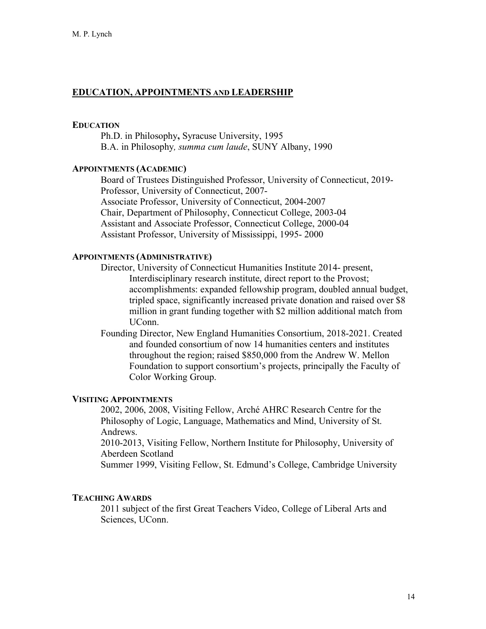## **EDUCATION, APPOINTMENTS AND LEADERSHIP**

#### **EDUCATION**

Ph.D. in Philosophy**,** Syracuse University, 1995 B.A. in Philosophy*, summa cum laude*, SUNY Albany, 1990

## **APPOINTMENTS (ACADEMIC)**

Board of Trustees Distinguished Professor, University of Connecticut, 2019- Professor, University of Connecticut, 2007- Associate Professor, University of Connecticut, 2004-2007 Chair, Department of Philosophy, Connecticut College, 2003-04 Assistant and Associate Professor, Connecticut College, 2000-04 Assistant Professor, University of Mississippi, 1995- 2000

#### **APPOINTMENTS (ADMINISTRATIVE)**

Director, University of Connecticut Humanities Institute 2014- present, Interdisciplinary research institute, direct report to the Provost; accomplishments: expanded fellowship program, doubled annual budget, tripled space, significantly increased private donation and raised over \$8 million in grant funding together with \$2 million additional match from UConn.

Founding Director, New England Humanities Consortium, 2018-2021. Created and founded consortium of now 14 humanities centers and institutes throughout the region; raised \$850,000 from the Andrew W. Mellon Foundation to support consortium's projects, principally the Faculty of Color Working Group.

#### **VISITING APPOINTMENTS**

2002, 2006, 2008, Visiting Fellow, Arché AHRC Research Centre for the Philosophy of Logic, Language, Mathematics and Mind, University of St. Andrews.

2010-2013, Visiting Fellow, Northern Institute for Philosophy, University of Aberdeen Scotland

Summer 1999, Visiting Fellow, St. Edmund's College, Cambridge University

#### **TEACHING AWARDS**

2011 subject of the first Great Teachers Video, College of Liberal Arts and Sciences, UConn.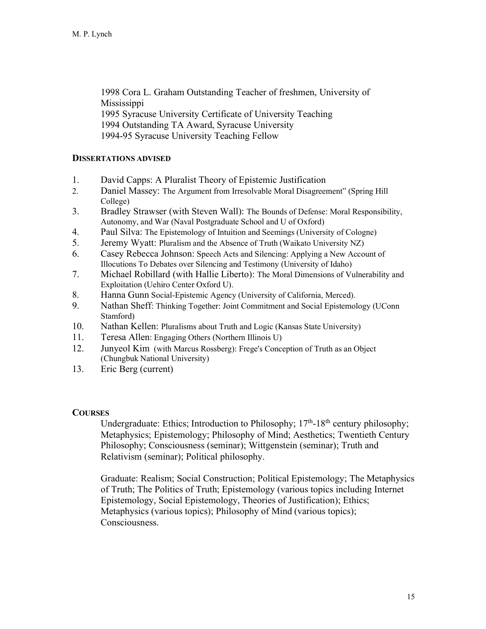1998 Cora L. Graham Outstanding Teacher of freshmen, University of **Mississippi** 1995 Syracuse University Certificate of University Teaching 1994 Outstanding TA Award, Syracuse University 1994-95 Syracuse University Teaching Fellow

## **DISSERTATIONS ADVISED**

- 1. David Capps: A Pluralist Theory of Epistemic Justification
- 2. Daniel Massey: The Argument from Irresolvable Moral Disagreement" (Spring Hill College)
- 3. Bradley Strawser (with Steven Wall): The Bounds of Defense: Moral Responsibility, Autonomy, and War (Naval Postgraduate School and U of Oxford)
- 4. Paul Silva: The Epistemology of Intuition and Seemings (University of Cologne)
- 5. Jeremy Wyatt: Pluralism and the Absence of Truth (Waikato University NZ)
- 6. Casey Rebecca Johnson: Speech Acts and Silencing: Applying a New Account of Illocutions To Debates over Silencing and Testimony (University of Idaho)
- 7. Michael Robillard (with Hallie Liberto): The Moral Dimensions of Vulnerability and Exploitation (Uehiro Center Oxford U).
- 8. Hanna Gunn Social-Epistemic Agency (University of California, Merced).
- 9. Nathan Sheff: Thinking Together: Joint Commitment and Social Epistemology (UConn Stamford)
- 10. Nathan Kellen: Pluralisms about Truth and Logic (Kansas State University)
- 11. Teresa Allen: Engaging Others (Northern Illinois U)
- 12. Junyeol Kim (with Marcus Rossberg): Frege's Conception of Truth as an Object (Chungbuk National University)
- 13. Eric Berg (current)

# **COURSES**

Undergraduate: Ethics; Introduction to Philosophy;  $17<sup>th</sup> - 18<sup>th</sup>$  century philosophy; Metaphysics; Epistemology; Philosophy of Mind; Aesthetics; Twentieth Century Philosophy; Consciousness (seminar); Wittgenstein (seminar); Truth and Relativism (seminar); Political philosophy.

Graduate: Realism; Social Construction; Political Epistemology; The Metaphysics of Truth; The Politics of Truth; Epistemology (various topics including Internet Epistemology, Social Epistemology, Theories of Justification); Ethics; Metaphysics (various topics); Philosophy of Mind (various topics); Consciousness.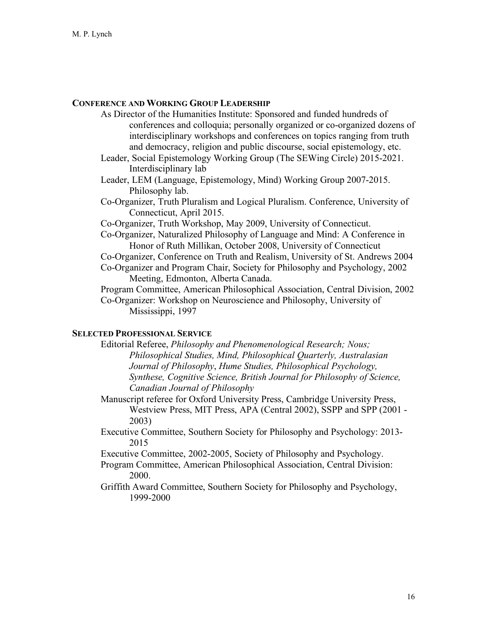## **CONFERENCE AND WORKING GROUP LEADERSHIP**

- As Director of the Humanities Institute: Sponsored and funded hundreds of conferences and colloquia; personally organized or co-organized dozens of interdisciplinary workshops and conferences on topics ranging from truth and democracy, religion and public discourse, social epistemology, etc.
- Leader, Social Epistemology Working Group (The SEWing Circle) 2015-2021. Interdisciplinary lab
- Leader, LEM (Language, Epistemology, Mind) Working Group 2007-2015. Philosophy lab.
- Co-Organizer, Truth Pluralism and Logical Pluralism. Conference, University of Connecticut, April 2015.
- Co-Organizer, Truth Workshop, May 2009, University of Connecticut.
- Co-Organizer, Naturalized Philosophy of Language and Mind: A Conference in Honor of Ruth Millikan, October 2008, University of Connecticut Co-Organizer, Conference on Truth and Realism, University of St. Andrews 2004 Co-Organizer and Program Chair, Society for Philosophy and Psychology, 2002

Meeting, Edmonton, Alberta Canada.

Program Committee, American Philosophical Association, Central Division, 2002 Co-Organizer: Workshop on Neuroscience and Philosophy, University of Mississippi, 1997

### **SELECTED PROFESSIONAL SERVICE**

Editorial Referee, *Philosophy and Phenomenological Research; Nous; Philosophical Studies, Mind, Philosophical Quarterly, Australasian Journal of Philosophy*, *Hume Studies, Philosophical Psychology, Synthese, Cognitive Science, British Journal for Philosophy of Science, Canadian Journal of Philosophy* 

Manuscript referee for Oxford University Press, Cambridge University Press, Westview Press, MIT Press, APA (Central 2002), SSPP and SPP (2001 - 2003)

Executive Committee, Southern Society for Philosophy and Psychology: 2013- 2015

Executive Committee, 2002-2005, Society of Philosophy and Psychology.

- Program Committee, American Philosophical Association, Central Division: 2000.
- Griffith Award Committee, Southern Society for Philosophy and Psychology, 1999-2000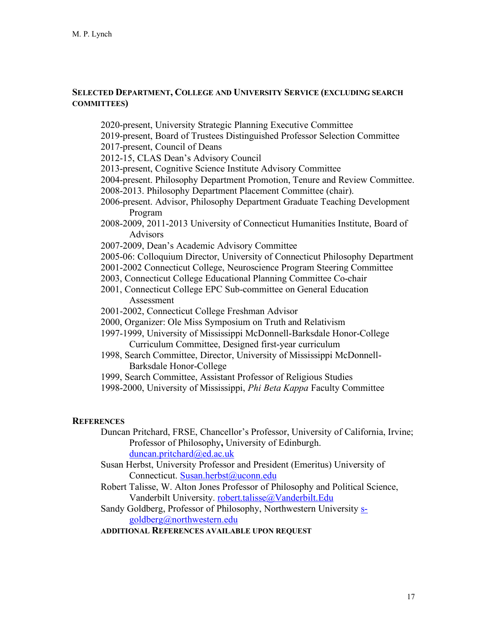## **SELECTED DEPARTMENT, COLLEGE AND UNIVERSITY SERVICE (EXCLUDING SEARCH COMMITTEES)**

2020-present, University Strategic Planning Executive Committee

- 2019-present, Board of Trustees Distinguished Professor Selection Committee
- 2017-present, Council of Deans
- 2012-15, CLAS Dean's Advisory Council
- 2013-present, Cognitive Science Institute Advisory Committee
- 2004-present. Philosophy Department Promotion, Tenure and Review Committee. 2008-2013. Philosophy Department Placement Committee (chair).
- 2006-present. Advisor, Philosophy Department Graduate Teaching Development Program
- 2008-2009, 2011-2013 University of Connecticut Humanities Institute, Board of Advisors
- 2007-2009, Dean's Academic Advisory Committee
- 2005-06: Colloquium Director, University of Connecticut Philosophy Department
- 2001-2002 Connecticut College, Neuroscience Program Steering Committee
- 2003, Connecticut College Educational Planning Committee Co-chair
- 2001, Connecticut College EPC Sub-committee on General Education Assessment
- 2001-2002, Connecticut College Freshman Advisor
- 2000, Organizer: Ole Miss Symposium on Truth and Relativism
- 1997-1999, University of Mississippi McDonnell-Barksdale Honor-College Curriculum Committee, Designed first-year curriculum
- 1998, Search Committee, Director, University of Mississippi McDonnell-Barksdale Honor-College
- 1999, Search Committee, Assistant Professor of Religious Studies
- 1998-2000, University of Mississippi, *Phi Beta Kappa* Faculty Committee

#### **REFERENCES**

- Duncan Pritchard, FRSE, Chancellor's Professor, University of California, Irvine; Professor of Philosophy**,** University of Edinburgh. duncan.pritchard@ed.ac.uk
- Susan Herbst, University Professor and President (Emeritus) University of Connecticut. Susan.herbst@uconn.edu
- Robert Talisse, W. Alton Jones Professor of Philosophy and Political Science, Vanderbilt University. robert.talisse@Vanderbilt.Edu
- Sandy Goldberg, Professor of Philosophy, Northwestern University sgoldberg@northwestern.edu

## **ADDITIONAL REFERENCES AVAILABLE UPON REQUEST**